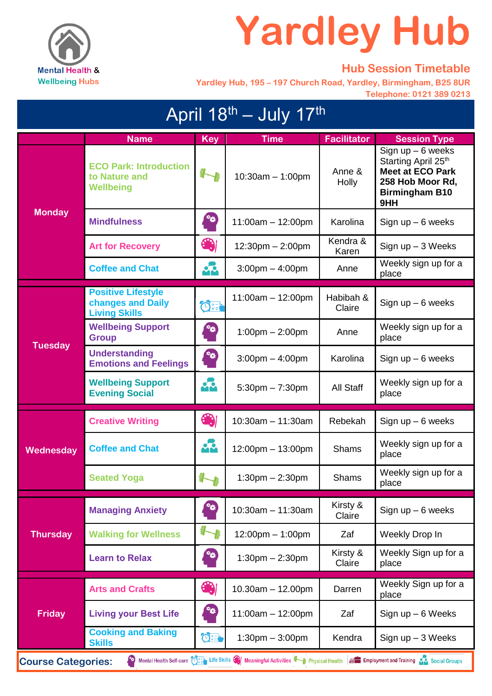

## **Yardley Hub**

## **Hub Session Timetable**

 **Yardley Hub, 195 – 197 Church Road, Yardley, Birmingham, B25 8UR Telephone: 0121 389 0213**

| April 18 <sup>th</sup> - July 17 <sup>th</sup>                                                                                                                                                                                       |                                                                        |                           |                                    |                     |                                                                                                                           |  |
|--------------------------------------------------------------------------------------------------------------------------------------------------------------------------------------------------------------------------------------|------------------------------------------------------------------------|---------------------------|------------------------------------|---------------------|---------------------------------------------------------------------------------------------------------------------------|--|
|                                                                                                                                                                                                                                      | <b>Name</b>                                                            | <b>Key</b>                | <b>Time</b>                        | <b>Facilitator</b>  | <b>Session Type</b>                                                                                                       |  |
| <b>Monday</b>                                                                                                                                                                                                                        | <b>ECO Park: Introduction</b><br>to Nature and<br><b>Wellbeing</b>     |                           | $10:30am - 1:00pm$                 | Anne &<br>Holly     | Sign $up - 6$ weeks<br>Starting April 25th<br><b>Meet at ECO Park</b><br>258 Hob Moor Rd,<br><b>Birmingham B10</b><br>9HH |  |
|                                                                                                                                                                                                                                      | <b>Mindfulness</b>                                                     | **)                       | $11:00am - 12:00pm$                | Karolina            | Sign $up - 6$ weeks                                                                                                       |  |
|                                                                                                                                                                                                                                      | <b>Art for Recovery</b>                                                | 4                         | $12:30$ pm $- 2:00$ pm             | Kendra &<br>Karen   | Sign $up-3$ Weeks                                                                                                         |  |
|                                                                                                                                                                                                                                      | <b>Coffee and Chat</b>                                                 | <br>Mm                    | $3:00 \text{pm} - 4:00 \text{pm}$  | Anne                | Weekly sign up for a<br>place                                                                                             |  |
|                                                                                                                                                                                                                                      | <b>Positive Lifestyle</b><br>changes and Daily<br><b>Living Skills</b> | $\mathbf{C}$              | $11:00am - 12:00pm$                | Habibah &<br>Claire | Sign $up - 6$ weeks                                                                                                       |  |
| <b>Tuesday</b>                                                                                                                                                                                                                       | <b>Wellbeing Support</b><br><b>Group</b>                               | **)                       | $1:00 \text{pm} - 2:00 \text{pm}$  | Anne                | Weekly sign up for a<br>place                                                                                             |  |
|                                                                                                                                                                                                                                      | <b>Understanding</b><br><b>Emotions and Feelings</b>                   | **)                       | $3:00 \text{pm} - 4:00 \text{pm}$  | Karolina            | Sign $up - 6$ weeks                                                                                                       |  |
|                                                                                                                                                                                                                                      | <b>Wellbeing Support</b><br><b>Evening Social</b>                      | 42                        | $5:30$ pm $-7:30$ pm               | All Staff           | Weekly sign up for a<br>place                                                                                             |  |
| Wednesday                                                                                                                                                                                                                            | <b>Creative Writing</b>                                                | Ce                        | $10:30$ am - 11:30am               | Rebekah             | Sign $up - 6$ weeks                                                                                                       |  |
|                                                                                                                                                                                                                                      | <b>Coffee and Chat</b>                                                 | <br>Mm                    | 12:00pm - 13:00pm                  | <b>Shams</b>        | Weekly sign up for a<br>place                                                                                             |  |
|                                                                                                                                                                                                                                      | <b>Seated Yoga</b>                                                     |                           | $1:30$ pm $- 2:30$ pm              | <b>Shams</b>        | Weekly sign up for a<br>place                                                                                             |  |
| <b>Thursday</b>                                                                                                                                                                                                                      | <b>Managing Anxiety</b>                                                | **                        | $10:30am - 11:30am$                | Kirsty &<br>Claire  | Sign $up - 6$ weeks                                                                                                       |  |
|                                                                                                                                                                                                                                      | <b>Walking for Wellness</b>                                            |                           | $12:00 \text{pm} - 1:00 \text{pm}$ | Zaf                 | Weekly Drop In                                                                                                            |  |
|                                                                                                                                                                                                                                      | <b>Learn to Relax</b>                                                  | $\mathbf{r}_{\mathbf{Q}}$ | $1:30$ pm $- 2:30$ pm              | Kirsty &<br>Claire  | Weekly Sign up for a<br>place                                                                                             |  |
| <b>Friday</b>                                                                                                                                                                                                                        | <b>Arts and Crafts</b>                                                 | 61                        | $10.30$ am $- 12.00$ pm            | Darren              | Weekly Sign up for a<br>place                                                                                             |  |
|                                                                                                                                                                                                                                      | <b>Living your Best Life</b>                                           | $\mathbf{r}$              | 11:00am - 12:00pm                  | Zaf                 | Sign up $-6$ Weeks                                                                                                        |  |
|                                                                                                                                                                                                                                      | <b>Cooking and Baking</b><br><b>Skills</b>                             | OF                        | $1:30$ pm $-3:00$ pm               | Kendra              | Sign $up-3$ Weeks                                                                                                         |  |
| Mental Health Self-care $\overline{(\cdot)}$ Life Skills $\bigoplus$ Meaningful Activities $\overline{\bigoplus}$ Physical Health $\equiv$ Employment and Training $\overline{\bigoplus}$ Social Groups<br><b>Course Categories:</b> |                                                                        |                           |                                    |                     |                                                                                                                           |  |